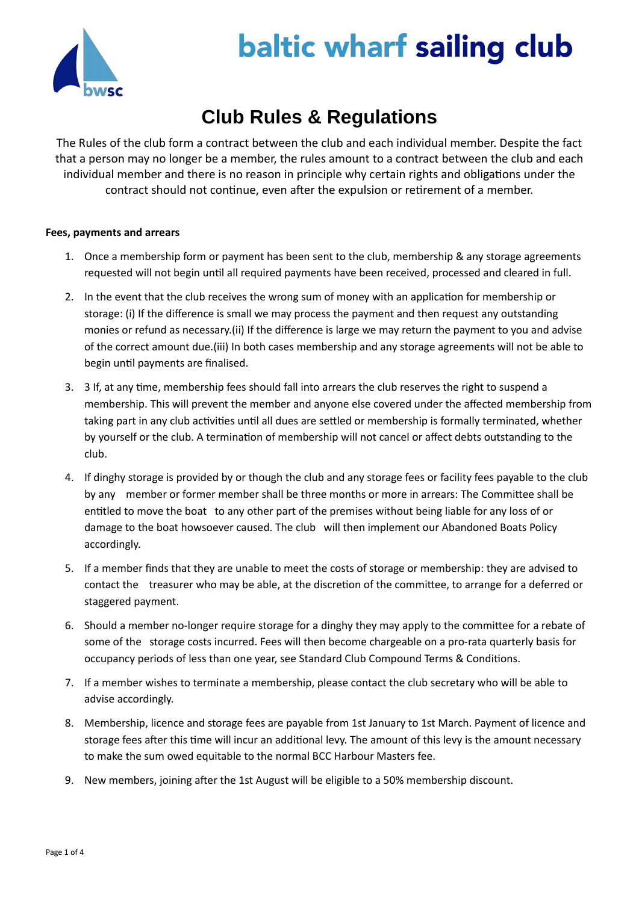

# **baltic wharf sailing club**

# **Club Rules & Regulations**

The Rules of the club form a contract between the club and each individual member. Despite the fact that a person may no longer be a member, the rules amount to a contract between the club and each individual member and there is no reason in principle why certain rights and obligations under the contract should not continue, even after the expulsion or retirement of a member.

# **Fees, payments and arrears**

- 1. Once a membership form or payment has been sent to the club, membership & any storage agreements requested will not begin until all required payments have been received, processed and cleared in full.
- 2. In the event that the club receives the wrong sum of money with an application for membership or storage: (i) If the difference is small we may process the payment and then request any outstanding monies or refund as necessary.(ii) If the difference is large we may return the payment to you and advise of the correct amount due.(iii) In both cases membership and any storage agreements will not be able to begin until payments are finalised.
- 3. 3 If, at any time, membership fees should fall into arrears the club reserves the right to suspend a membership. This will prevent the member and anyone else covered under the affected membership from taking part in any club activities until all dues are settled or membership is formally terminated, whether by yourself or the club. A termination of membership will not cancel or affect debts outstanding to the club.
- 4. If dinghy storage is provided by or though the club and any storage fees or facility fees payable to the club by any member or former member shall be three months or more in arrears: The Committee shall be entitled to move the boat to any other part of the premises without being liable for any loss of or damage to the boat howsoever caused. The club will then implement our Abandoned Boats Policy accordingly.
- 5. If a member finds that they are unable to meet the costs of storage or membership: they are advised to contact the treasurer who may be able, at the discretion of the committee, to arrange for a deferred or staggered payment.
- 6. Should a member no-longer require storage for a dinghy they may apply to the committee for a rebate of some of the storage costs incurred. Fees will then become chargeable on a pro-rata quarterly basis for occupancy periods of less than one year, see Standard Club Compound Terms & Conditions.
- 7. If a member wishes to terminate a membership, please contact the club secretary who will be able to advise accordingly.
- 8. Membership, licence and storage fees are payable from 1st January to 1st March. Payment of licence and storage fees after this time will incur an additional levy. The amount of this levy is the amount necessary to make the sum owed equitable to the normal BCC Harbour Masters fee.
- 9. New members, joining after the 1st August will be eligible to a 50% membership discount.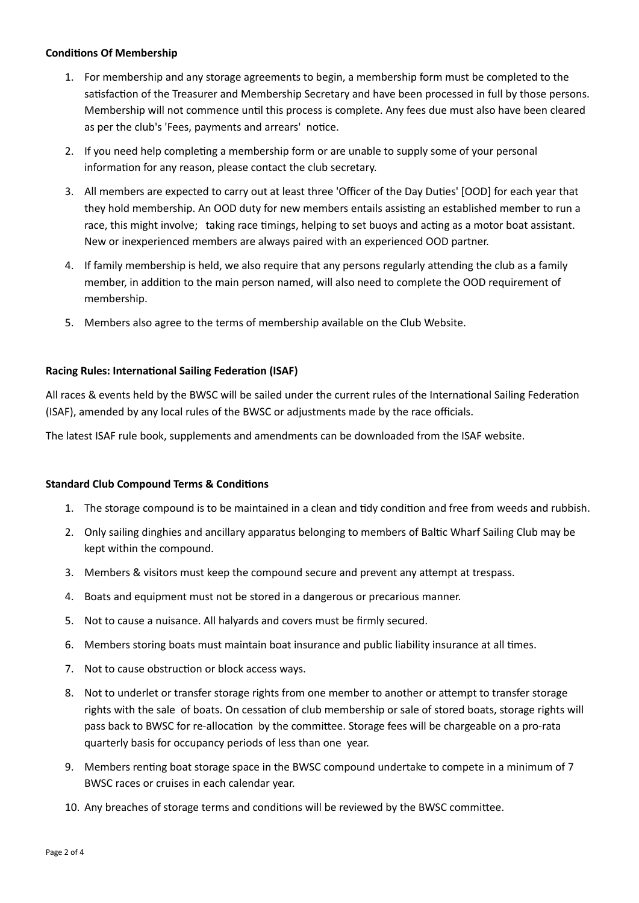# **Conditions Of Membership**

- 1. For membership and any storage agreements to begin, a membership form must be completed to the satisfaction of the Treasurer and Membership Secretary and have been processed in full by those persons. Membership will not commence until this process is complete. Any fees due must also have been cleared as per the club's 'Fees, payments and arrears' notice.
- 2. If you need help completing a membership form or are unable to supply some of your personal information for any reason, please contact the club secretary.
- 3. All members are expected to carry out at least three 'Officer of the Day Duties' [OOD] for each year that they hold membership. An OOD duty for new members entails assisting an established member to run a race, this might involve; taking race timings, helping to set buoys and acting as a motor boat assistant. New or inexperienced members are always paired with an experienced OOD partner.
- 4. If family membership is held, we also require that any persons regularly attending the club as a family member, in addition to the main person named, will also need to complete the OOD requirement of membership.
- 5. Members also agree to the terms of membership available on the Club Website.

# **Racing Rules: International Sailing Federation (ISAF)**

All races & events held by the BWSC will be sailed under the current rules of the International Sailing Federation (ISAF), amended by any local rules of the BWSC or adjustments made by the race officials.

The latest ISAF rule book, supplements and amendments can be downloaded from the ISAF website.

# **Standard Club Compound Terms & Conditions**

- 1. The storage compound is to be maintained in a clean and tidy condition and free from weeds and rubbish.
- 2. Only sailing dinghies and ancillary apparatus belonging to members of Baltic Wharf Sailing Club may be kept within the compound.
- 3. Members & visitors must keep the compound secure and prevent any attempt at trespass.
- 4. Boats and equipment must not be stored in a dangerous or precarious manner.
- 5. Not to cause a nuisance. All halyards and covers must be firmly secured.
- 6. Members storing boats must maintain boat insurance and public liability insurance at all times.
- 7. Not to cause obstruction or block access ways.
- 8. Not to underlet or transfer storage rights from one member to another or attempt to transfer storage rights with the sale of boats. On cessation of club membership or sale of stored boats, storage rights will pass back to BWSC for re-allocation by the committee. Storage fees will be chargeable on a pro-rata quarterly basis for occupancy periods of less than one year.
- 9. Members renting boat storage space in the BWSC compound undertake to compete in a minimum of 7 BWSC races or cruises in each calendar year.
- 10. Any breaches of storage terms and conditions will be reviewed by the BWSC committee.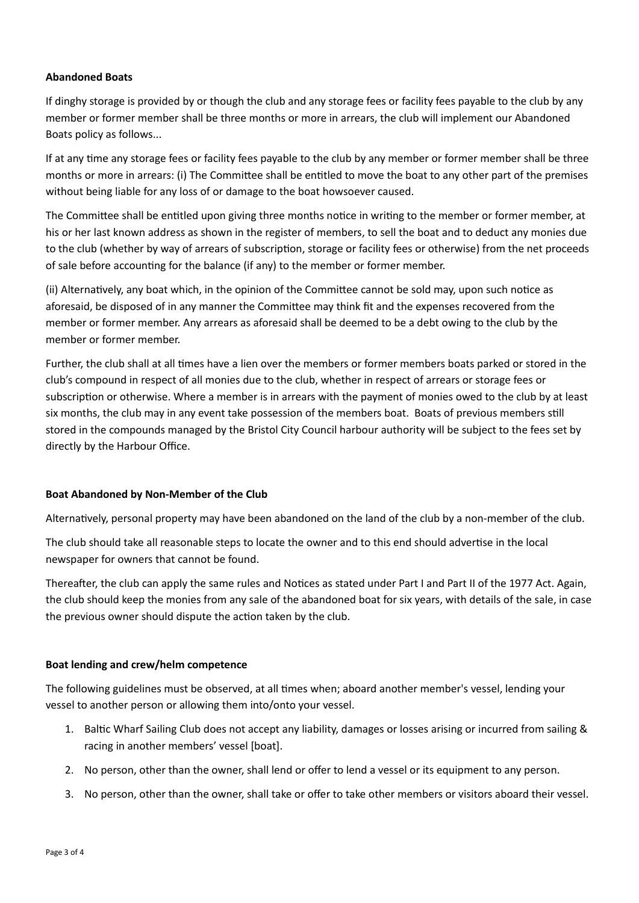# **Abandoned Boats**

If dinghy storage is provided by or though the club and any storage fees or facility fees payable to the club by any member or former member shall be three months or more in arrears, the club will implement our Abandoned Boats policy as follows...

If at any time any storage fees or facility fees payable to the club by any member or former member shall be three months or more in arrears: (i) The Committee shall be entitled to move the boat to any other part of the premises without being liable for any loss of or damage to the boat howsoever caused.

The Committee shall be entitled upon giving three months notice in writing to the member or former member, at his or her last known address as shown in the register of members, to sell the boat and to deduct any monies due to the club (whether by way of arrears of subscription, storage or facility fees or otherwise) from the net proceeds of sale before accounting for the balance (if any) to the member or former member.

(ii) Alternatively, any boat which, in the opinion of the Committee cannot be sold may, upon such notice as aforesaid, be disposed of in any manner the Committee may think fit and the expenses recovered from the member or former member. Any arrears as aforesaid shall be deemed to be a debt owing to the club by the member or former member.

Further, the club shall at all times have a lien over the members or former members boats parked or stored in the club's compound in respect of all monies due to the club, whether in respect of arrears or storage fees or subscription or otherwise. Where a member is in arrears with the payment of monies owed to the club by at least six months, the club may in any event take possession of the members boat. Boats of previous members still stored in the compounds managed by the Bristol City Council harbour authority will be subject to the fees set by directly by the Harbour Office.

# **Boat Abandoned by Non-Member of the Club**

Alternatively, personal property may have been abandoned on the land of the club by a non-member of the club.

The club should take all reasonable steps to locate the owner and to this end should advertise in the local newspaper for owners that cannot be found.

Thereafter, the club can apply the same rules and Notices as stated under Part I and Part II of the 1977 Act. Again, the club should keep the monies from any sale of the abandoned boat for six years, with details of the sale, in case the previous owner should dispute the action taken by the club.

# **Boat lending and crew/helm competence**

The following guidelines must be observed, at all times when; aboard another member's vessel, lending your vessel to another person or allowing them into/onto your vessel.

- 1. Baltic Wharf Sailing Club does not accept any liability, damages or losses arising or incurred from sailing & racing in another members' vessel [boat].
- 2. No person, other than the owner, shall lend or offer to lend a vessel or its equipment to any person.
- 3. No person, other than the owner, shall take or offer to take other members or visitors aboard their vessel.